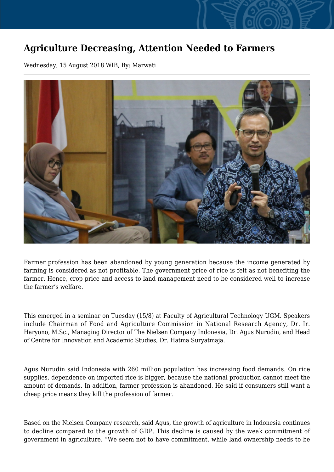## **Agriculture Decreasing, Attention Needed to Farmers**

Wednesday, 15 August 2018 WIB, By: Marwati



Farmer profession has been abandoned by young generation because the income generated by farming is considered as not profitable. The government price of rice is felt as not benefiting the farmer. Hence, crop price and access to land management need to be considered well to increase the farmer's welfare.

This emerged in a seminar on Tuesday (15/8) at Faculty of Agricultural Technology UGM. Speakers include Chairman of Food and Agriculture Commission in National Research Agency, Dr. Ir. Haryono, M.Sc., Managing Director of The Nielsen Company Indonesia, Dr. Agus Nurudin, and Head of Centre for Innovation and Academic Studies, Dr. Hatma Suryatmaja.

Agus Nurudin said Indonesia with 260 million population has increasing food demands. On rice supplies, dependence on imported rice is bigger, because the national production cannot meet the amount of demands. In addition, farmer profession is abandoned. He said if consumers still want a cheap price means they kill the profession of farmer.

Based on the Nielsen Company research, said Agus, the growth of agriculture in Indonesia continues to decline compared to the growth of GDP. This decline is caused by the weak commitment of government in agriculture. "We seem not to have commitment, while land ownership needs to be